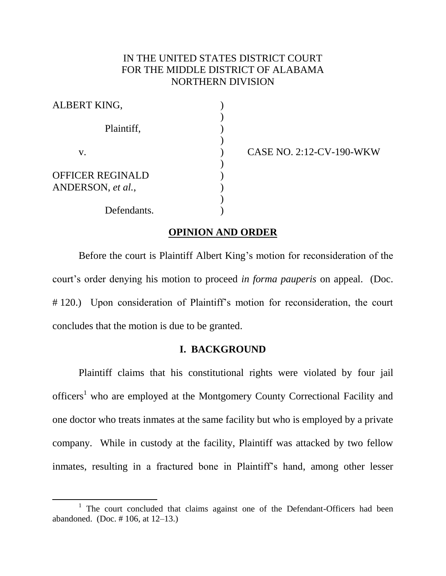## IN THE UNITED STATES DISTRICT COURT FOR THE MIDDLE DISTRICT OF ALABAMA NORTHERN DIVISION

| ALBERT KING,                                 |  |
|----------------------------------------------|--|
| Plaintiff,                                   |  |
| V.                                           |  |
| <b>OFFICER REGINALD</b><br>ANDERSON, et al., |  |
| Defendants.                                  |  |

 $\overline{\phantom{a}}$ 

CASE NO. 2:12-CV-190-WKW

#### **OPINION AND ORDER**

Before the court is Plaintiff Albert King's motion for reconsideration of the court's order denying his motion to proceed *in forma pauperis* on appeal. (Doc. # 120.) Upon consideration of Plaintiff's motion for reconsideration, the court concludes that the motion is due to be granted.

## **I. BACKGROUND**

Plaintiff claims that his constitutional rights were violated by four jail officers<sup>1</sup> who are employed at the Montgomery County Correctional Facility and one doctor who treats inmates at the same facility but who is employed by a private company. While in custody at the facility, Plaintiff was attacked by two fellow inmates, resulting in a fractured bone in Plaintiff's hand, among other lesser

<sup>&</sup>lt;sup>1</sup> The court concluded that claims against one of the Defendant-Officers had been abandoned. (Doc. # 106, at 12–13.)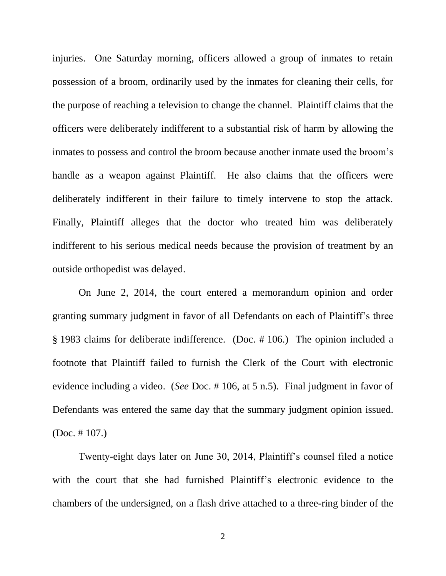injuries. One Saturday morning, officers allowed a group of inmates to retain possession of a broom, ordinarily used by the inmates for cleaning their cells, for the purpose of reaching a television to change the channel. Plaintiff claims that the officers were deliberately indifferent to a substantial risk of harm by allowing the inmates to possess and control the broom because another inmate used the broom's handle as a weapon against Plaintiff. He also claims that the officers were deliberately indifferent in their failure to timely intervene to stop the attack. Finally, Plaintiff alleges that the doctor who treated him was deliberately indifferent to his serious medical needs because the provision of treatment by an outside orthopedist was delayed.

On June 2, 2014, the court entered a memorandum opinion and order granting summary judgment in favor of all Defendants on each of Plaintiff's three § 1983 claims for deliberate indifference. (Doc. # 106.) The opinion included a footnote that Plaintiff failed to furnish the Clerk of the Court with electronic evidence including a video. (*See* Doc. # 106, at 5 n.5). Final judgment in favor of Defendants was entered the same day that the summary judgment opinion issued. (Doc. # 107.)

Twenty-eight days later on June 30, 2014, Plaintiff's counsel filed a notice with the court that she had furnished Plaintiff's electronic evidence to the chambers of the undersigned, on a flash drive attached to a three-ring binder of the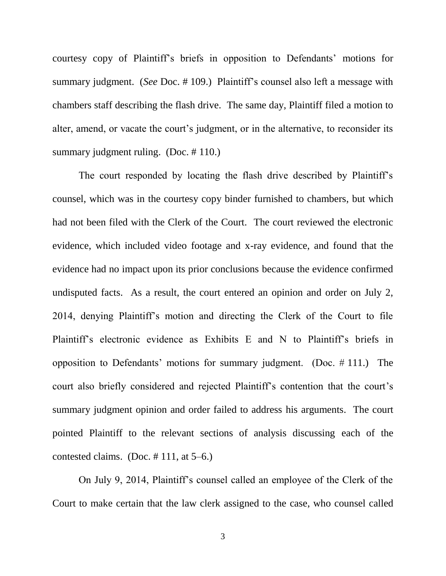courtesy copy of Plaintiff's briefs in opposition to Defendants' motions for summary judgment. (*See* Doc. # 109.) Plaintiff's counsel also left a message with chambers staff describing the flash drive. The same day, Plaintiff filed a motion to alter, amend, or vacate the court's judgment, or in the alternative, to reconsider its summary judgment ruling. (Doc. #110.)

The court responded by locating the flash drive described by Plaintiff's counsel, which was in the courtesy copy binder furnished to chambers, but which had not been filed with the Clerk of the Court. The court reviewed the electronic evidence, which included video footage and x-ray evidence, and found that the evidence had no impact upon its prior conclusions because the evidence confirmed undisputed facts. As a result, the court entered an opinion and order on July 2, 2014, denying Plaintiff's motion and directing the Clerk of the Court to file Plaintiff's electronic evidence as Exhibits E and N to Plaintiff's briefs in opposition to Defendants' motions for summary judgment. (Doc. # 111.) The court also briefly considered and rejected Plaintiff's contention that the court's summary judgment opinion and order failed to address his arguments. The court pointed Plaintiff to the relevant sections of analysis discussing each of the contested claims. (Doc. # 111, at 5–6.)

On July 9, 2014, Plaintiff's counsel called an employee of the Clerk of the Court to make certain that the law clerk assigned to the case, who counsel called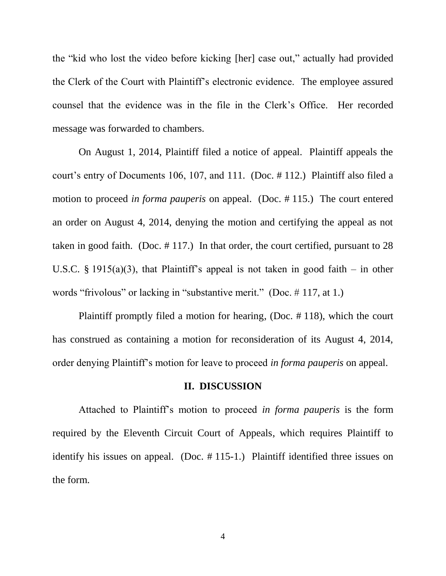the "kid who lost the video before kicking [her] case out," actually had provided the Clerk of the Court with Plaintiff's electronic evidence. The employee assured counsel that the evidence was in the file in the Clerk's Office. Her recorded message was forwarded to chambers.

On August 1, 2014, Plaintiff filed a notice of appeal. Plaintiff appeals the court's entry of Documents 106, 107, and 111. (Doc. # 112.) Plaintiff also filed a motion to proceed *in forma pauperis* on appeal. (Doc. # 115.) The court entered an order on August 4, 2014, denying the motion and certifying the appeal as not taken in good faith. (Doc. # 117.) In that order, the court certified, pursuant to 28 U.S.C. § 1915(a)(3), that Plaintiff's appeal is not taken in good faith – in other words "frivolous" or lacking in "substantive merit." (Doc. # 117, at 1.)

Plaintiff promptly filed a motion for hearing, (Doc. # 118), which the court has construed as containing a motion for reconsideration of its August 4, 2014, order denying Plaintiff's motion for leave to proceed *in forma pauperis* on appeal.

#### **II. DISCUSSION**

Attached to Plaintiff's motion to proceed *in forma pauperis* is the form required by the Eleventh Circuit Court of Appeals, which requires Plaintiff to identify his issues on appeal. (Doc. # 115-1.) Plaintiff identified three issues on the form.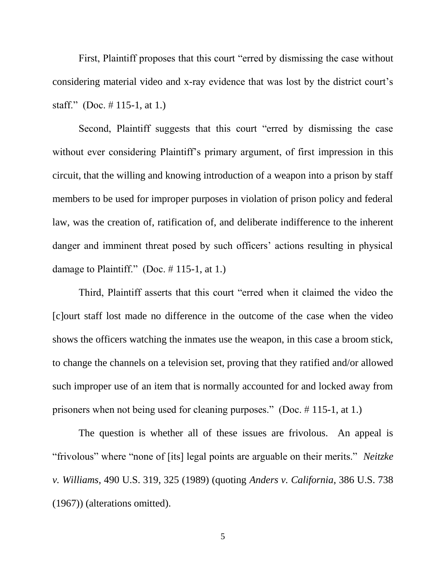First, Plaintiff proposes that this court "erred by dismissing the case without considering material video and x-ray evidence that was lost by the district court's staff." (Doc.  $\#$  115-1, at 1.)

Second, Plaintiff suggests that this court "erred by dismissing the case without ever considering Plaintiff's primary argument, of first impression in this circuit, that the willing and knowing introduction of a weapon into a prison by staff members to be used for improper purposes in violation of prison policy and federal law, was the creation of, ratification of, and deliberate indifference to the inherent danger and imminent threat posed by such officers' actions resulting in physical damage to Plaintiff." (Doc.  $\#$  115-1, at 1.)

Third, Plaintiff asserts that this court "erred when it claimed the video the [c]ourt staff lost made no difference in the outcome of the case when the video shows the officers watching the inmates use the weapon, in this case a broom stick, to change the channels on a television set, proving that they ratified and/or allowed such improper use of an item that is normally accounted for and locked away from prisoners when not being used for cleaning purposes." (Doc. # 115-1, at 1.)

The question is whether all of these issues are frivolous. An appeal is "frivolous" where "none of [its] legal points are arguable on their merits." *Neitzke v. Williams*, 490 U.S. 319, 325 (1989) (quoting *Anders v. California*, 386 U.S. 738 (1967)) (alterations omitted).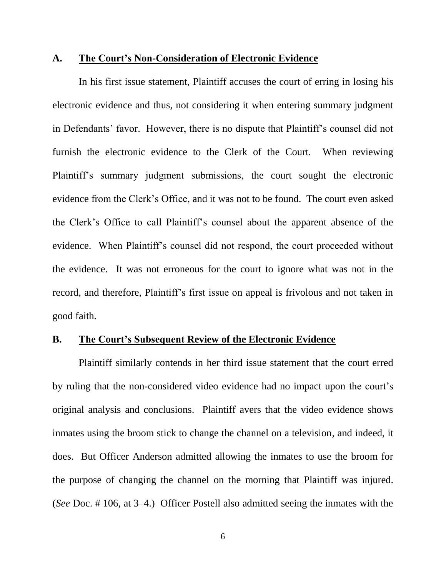#### **A. The Court's Non-Consideration of Electronic Evidence**

In his first issue statement, Plaintiff accuses the court of erring in losing his electronic evidence and thus, not considering it when entering summary judgment in Defendants' favor. However, there is no dispute that Plaintiff's counsel did not furnish the electronic evidence to the Clerk of the Court. When reviewing Plaintiff's summary judgment submissions, the court sought the electronic evidence from the Clerk's Office, and it was not to be found. The court even asked the Clerk's Office to call Plaintiff's counsel about the apparent absence of the evidence. When Plaintiff's counsel did not respond, the court proceeded without the evidence. It was not erroneous for the court to ignore what was not in the record, and therefore, Plaintiff's first issue on appeal is frivolous and not taken in good faith.

## **B. The Court's Subsequent Review of the Electronic Evidence**

Plaintiff similarly contends in her third issue statement that the court erred by ruling that the non-considered video evidence had no impact upon the court's original analysis and conclusions. Plaintiff avers that the video evidence shows inmates using the broom stick to change the channel on a television, and indeed, it does. But Officer Anderson admitted allowing the inmates to use the broom for the purpose of changing the channel on the morning that Plaintiff was injured. (*See* Doc. # 106, at 3–4.) Officer Postell also admitted seeing the inmates with the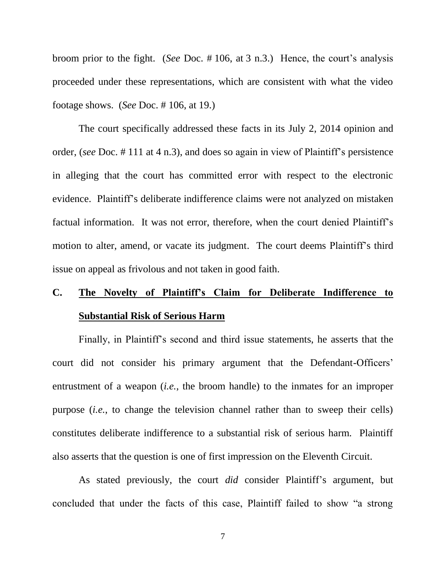broom prior to the fight. (*See* Doc. # 106, at 3 n.3.) Hence, the court's analysis proceeded under these representations, which are consistent with what the video footage shows. (*See* Doc. # 106, at 19.)

The court specifically addressed these facts in its July 2, 2014 opinion and order, (*see* Doc. # 111 at 4 n.3), and does so again in view of Plaintiff's persistence in alleging that the court has committed error with respect to the electronic evidence. Plaintiff's deliberate indifference claims were not analyzed on mistaken factual information. It was not error, therefore, when the court denied Plaintiff's motion to alter, amend, or vacate its judgment. The court deems Plaintiff's third issue on appeal as frivolous and not taken in good faith.

# **C. The Novelty of Plaintiff's Claim for Deliberate Indifference to Substantial Risk of Serious Harm**

Finally, in Plaintiff's second and third issue statements, he asserts that the court did not consider his primary argument that the Defendant-Officers' entrustment of a weapon (*i.e.*, the broom handle) to the inmates for an improper purpose (*i.e.*, to change the television channel rather than to sweep their cells) constitutes deliberate indifference to a substantial risk of serious harm. Plaintiff also asserts that the question is one of first impression on the Eleventh Circuit.

As stated previously, the court *did* consider Plaintiff's argument, but concluded that under the facts of this case, Plaintiff failed to show "a strong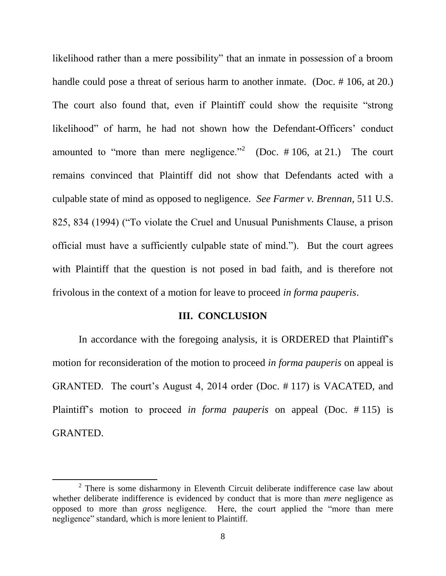likelihood rather than a mere possibility" that an inmate in possession of a broom handle could pose a threat of serious harm to another inmate. (Doc. # 106, at 20.) The court also found that, even if Plaintiff could show the requisite "strong likelihood" of harm, he had not shown how the Defendant-Officers' conduct amounted to "more than mere negligence."<sup>2</sup> (Doc.  $\# 106$ , at 21.) The court remains convinced that Plaintiff did not show that Defendants acted with a culpable state of mind as opposed to negligence. *See Farmer v. Brennan,* 511 U.S. 825, 834 (1994) ("To violate the Cruel and Unusual Punishments Clause, a prison official must have a sufficiently culpable state of mind."). But the court agrees with Plaintiff that the question is not posed in bad faith, and is therefore not frivolous in the context of a motion for leave to proceed *in forma pauperis*.

#### **III. CONCLUSION**

In accordance with the foregoing analysis, it is ORDERED that Plaintiff's motion for reconsideration of the motion to proceed *in forma pauperis* on appeal is GRANTED. The court's August 4, 2014 order (Doc. # 117) is VACATED, and Plaintiff's motion to proceed *in forma pauperis* on appeal (Doc. # 115) is GRANTED.

 $\overline{a}$ 

 $2$  There is some disharmony in Eleventh Circuit deliberate indifference case law about whether deliberate indifference is evidenced by conduct that is more than *mere* negligence as opposed to more than *gross* negligence. Here, the court applied the "more than mere negligence" standard, which is more lenient to Plaintiff.